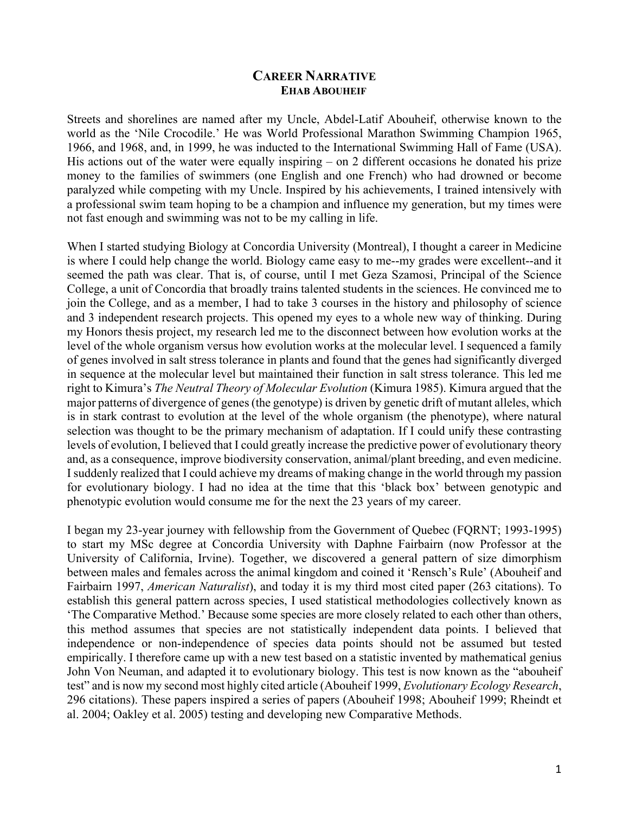## **CAREER NARRATIVE EHAB ABOUHEIF**

Streets and shorelines are named after my Uncle, Abdel-Latif Abouheif, otherwise known to the world as the 'Nile Crocodile.' He was World Professional Marathon Swimming Champion 1965, 1966, and 1968, and, in 1999, he was inducted to the International Swimming Hall of Fame (USA). His actions out of the water were equally inspiring – on 2 different occasions he donated his prize money to the families of swimmers (one English and one French) who had drowned or become paralyzed while competing with my Uncle. Inspired by his achievements, I trained intensively with a professional swim team hoping to be a champion and influence my generation, but my times were not fast enough and swimming was not to be my calling in life.

When I started studying Biology at Concordia University (Montreal), I thought a career in Medicine is where I could help change the world. Biology came easy to me--my grades were excellent--and it seemed the path was clear. That is, of course, until I met Geza Szamosi, Principal of the Science College, a unit of Concordia that broadly trains talented students in the sciences. He convinced me to join the College, and as a member, I had to take 3 courses in the history and philosophy of science and 3 independent research projects. This opened my eyes to a whole new way of thinking. During my Honors thesis project, my research led me to the disconnect between how evolution works at the level of the whole organism versus how evolution works at the molecular level. I sequenced a family of genes involved in salt stress tolerance in plants and found that the genes had significantly diverged in sequence at the molecular level but maintained their function in salt stress tolerance. This led me right to Kimura's *The Neutral Theory of Molecular Evolution* (Kimura 1985). Kimura argued that the major patterns of divergence of genes (the genotype) is driven by genetic drift of mutant alleles, which is in stark contrast to evolution at the level of the whole organism (the phenotype), where natural selection was thought to be the primary mechanism of adaptation. If I could unify these contrasting levels of evolution, I believed that I could greatly increase the predictive power of evolutionary theory and, as a consequence, improve biodiversity conservation, animal/plant breeding, and even medicine. I suddenly realized that I could achieve my dreams of making change in the world through my passion for evolutionary biology. I had no idea at the time that this 'black box' between genotypic and phenotypic evolution would consume me for the next the 23 years of my career.

I began my 23-year journey with fellowship from the Government of Quebec (FQRNT; 1993-1995) to start my MSc degree at Concordia University with Daphne Fairbairn (now Professor at the University of California, Irvine). Together, we discovered a general pattern of size dimorphism between males and females across the animal kingdom and coined it 'Rensch's Rule' (Abouheif and Fairbairn 1997, *American Naturalist*), and today it is my third most cited paper (263 citations). To establish this general pattern across species, I used statistical methodologies collectively known as 'The Comparative Method.' Because some species are more closely related to each other than others, this method assumes that species are not statistically independent data points. I believed that independence or non-independence of species data points should not be assumed but tested empirically. I therefore came up with a new test based on a statistic invented by mathematical genius John Von Neuman, and adapted it to evolutionary biology. This test is now known as the "abouheif test" and is now my second most highly cited article (Abouheif 1999, *Evolutionary Ecology Research*, 296 citations). These papers inspired a series of papers (Abouheif 1998; Abouheif 1999; Rheindt et al. 2004; Oakley et al. 2005) testing and developing new Comparative Methods.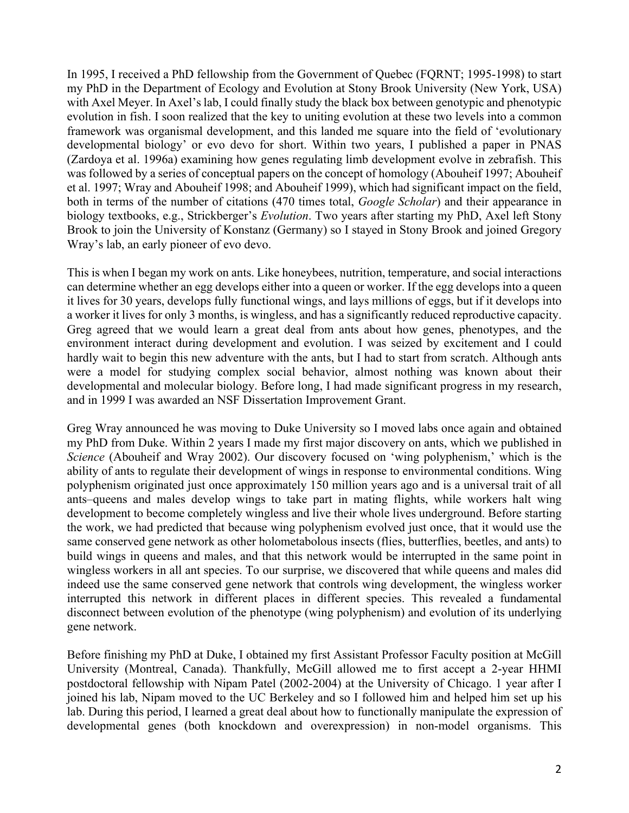In 1995, I received a PhD fellowship from the Government of Quebec (FQRNT; 1995-1998) to start my PhD in the Department of Ecology and Evolution at Stony Brook University (New York, USA) with Axel Meyer. In Axel's lab, I could finally study the black box between genotypic and phenotypic evolution in fish. I soon realized that the key to uniting evolution at these two levels into a common framework was organismal development, and this landed me square into the field of 'evolutionary developmental biology' or evo devo for short. Within two years, I published a paper in PNAS (Zardoya et al. 1996a) examining how genes regulating limb development evolve in zebrafish. This was followed by a series of conceptual papers on the concept of homology (Abouheif 1997; Abouheif et al. 1997; Wray and Abouheif 1998; and Abouheif 1999), which had significant impact on the field, both in terms of the number of citations (470 times total, *Google Scholar*) and their appearance in biology textbooks, e.g., Strickberger's *Evolution*. Two years after starting my PhD, Axel left Stony Brook to join the University of Konstanz (Germany) so I stayed in Stony Brook and joined Gregory Wray's lab, an early pioneer of evo devo.

This is when I began my work on ants. Like honeybees, nutrition, temperature, and social interactions can determine whether an egg develops either into a queen or worker. If the egg develops into a queen it lives for 30 years, develops fully functional wings, and lays millions of eggs, but if it develops into a worker it lives for only 3 months, is wingless, and has a significantly reduced reproductive capacity. Greg agreed that we would learn a great deal from ants about how genes, phenotypes, and the environment interact during development and evolution. I was seized by excitement and I could hardly wait to begin this new adventure with the ants, but I had to start from scratch. Although ants were a model for studying complex social behavior, almost nothing was known about their developmental and molecular biology. Before long, I had made significant progress in my research, and in 1999 I was awarded an NSF Dissertation Improvement Grant.

Greg Wray announced he was moving to Duke University so I moved labs once again and obtained my PhD from Duke. Within 2 years I made my first major discovery on ants, which we published in *Science* (Abouheif and Wray 2002). Our discovery focused on 'wing polyphenism,' which is the ability of ants to regulate their development of wings in response to environmental conditions. Wing polyphenism originated just once approximately 150 million years ago and is a universal trait of all ants–queens and males develop wings to take part in mating flights, while workers halt wing development to become completely wingless and live their whole lives underground. Before starting the work, we had predicted that because wing polyphenism evolved just once, that it would use the same conserved gene network as other holometabolous insects (flies, butterflies, beetles, and ants) to build wings in queens and males, and that this network would be interrupted in the same point in wingless workers in all ant species. To our surprise, we discovered that while queens and males did indeed use the same conserved gene network that controls wing development, the wingless worker interrupted this network in different places in different species. This revealed a fundamental disconnect between evolution of the phenotype (wing polyphenism) and evolution of its underlying gene network.

Before finishing my PhD at Duke, I obtained my first Assistant Professor Faculty position at McGill University (Montreal, Canada). Thankfully, McGill allowed me to first accept a 2-year HHMI postdoctoral fellowship with Nipam Patel (2002-2004) at the University of Chicago. 1 year after I joined his lab, Nipam moved to the UC Berkeley and so I followed him and helped him set up his lab. During this period, I learned a great deal about how to functionally manipulate the expression of developmental genes (both knockdown and overexpression) in non-model organisms. This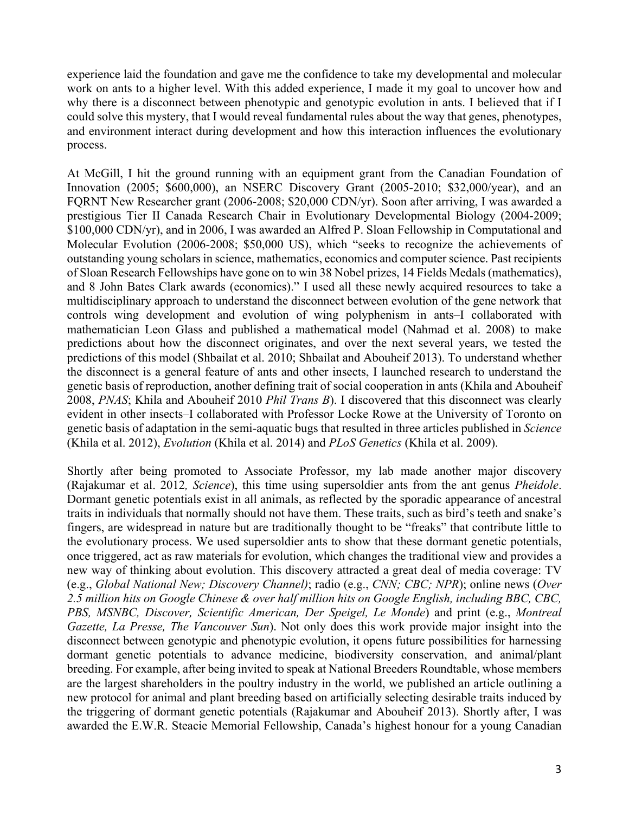experience laid the foundation and gave me the confidence to take my developmental and molecular work on ants to a higher level. With this added experience, I made it my goal to uncover how and why there is a disconnect between phenotypic and genotypic evolution in ants. I believed that if I could solve this mystery, that I would reveal fundamental rules about the way that genes, phenotypes, and environment interact during development and how this interaction influences the evolutionary process.

At McGill, I hit the ground running with an equipment grant from the Canadian Foundation of Innovation (2005; \$600,000), an NSERC Discovery Grant (2005-2010; \$32,000/year), and an FQRNT New Researcher grant (2006-2008; \$20,000 CDN/yr). Soon after arriving, I was awarded a prestigious Tier II Canada Research Chair in Evolutionary Developmental Biology (2004-2009; \$100,000 CDN/yr), and in 2006, I was awarded an Alfred P. Sloan Fellowship in Computational and Molecular Evolution (2006-2008; \$50,000 US), which "seeks to recognize the achievements of outstanding young scholars in science, mathematics, economics and computer science. Past recipients of Sloan Research Fellowships have gone on to win 38 Nobel prizes, 14 Fields Medals (mathematics), and 8 John Bates Clark awards (economics)." I used all these newly acquired resources to take a multidisciplinary approach to understand the disconnect between evolution of the gene network that controls wing development and evolution of wing polyphenism in ants–I collaborated with mathematician Leon Glass and published a mathematical model (Nahmad et al. 2008) to make predictions about how the disconnect originates, and over the next several years, we tested the predictions of this model (Shbailat et al. 2010; Shbailat and Abouheif 2013). To understand whether the disconnect is a general feature of ants and other insects, I launched research to understand the genetic basis of reproduction, another defining trait of social cooperation in ants (Khila and Abouheif 2008, *PNAS*; Khila and Abouheif 2010 *Phil Trans B*). I discovered that this disconnect was clearly evident in other insects–I collaborated with Professor Locke Rowe at the University of Toronto on genetic basis of adaptation in the semi-aquatic bugs that resulted in three articles published in *Science* (Khila et al. 2012), *Evolution* (Khila et al. 2014) and *PLoS Genetics* (Khila et al. 2009).

Shortly after being promoted to Associate Professor, my lab made another major discovery (Rajakumar et al. 2012*, Science*), this time using supersoldier ants from the ant genus *Pheidole*. Dormant genetic potentials exist in all animals, as reflected by the sporadic appearance of ancestral traits in individuals that normally should not have them. These traits, such as bird's teeth and snake's fingers, are widespread in nature but are traditionally thought to be "freaks" that contribute little to the evolutionary process. We used supersoldier ants to show that these dormant genetic potentials, once triggered, act as raw materials for evolution, which changes the traditional view and provides a new way of thinking about evolution. This discovery attracted a great deal of media coverage: TV (e.g., *Global National New; Discovery Channel)*; radio (e.g., *CNN; CBC; NPR*); online news (*Over 2.5 million hits on Google Chinese & over half million hits on Google English, including BBC, CBC, PBS, MSNBC, Discover, Scientific American, Der Speigel, Le Monde*) and print (e.g., *Montreal Gazette, La Presse, The Vancouver Sun*). Not only does this work provide major insight into the disconnect between genotypic and phenotypic evolution, it opens future possibilities for harnessing dormant genetic potentials to advance medicine, biodiversity conservation, and animal/plant breeding. For example, after being invited to speak at National Breeders Roundtable, whose members are the largest shareholders in the poultry industry in the world, we published an article outlining a new protocol for animal and plant breeding based on artificially selecting desirable traits induced by the triggering of dormant genetic potentials (Rajakumar and Abouheif 2013). Shortly after, I was awarded the E.W.R. Steacie Memorial Fellowship, Canada's highest honour for a young Canadian